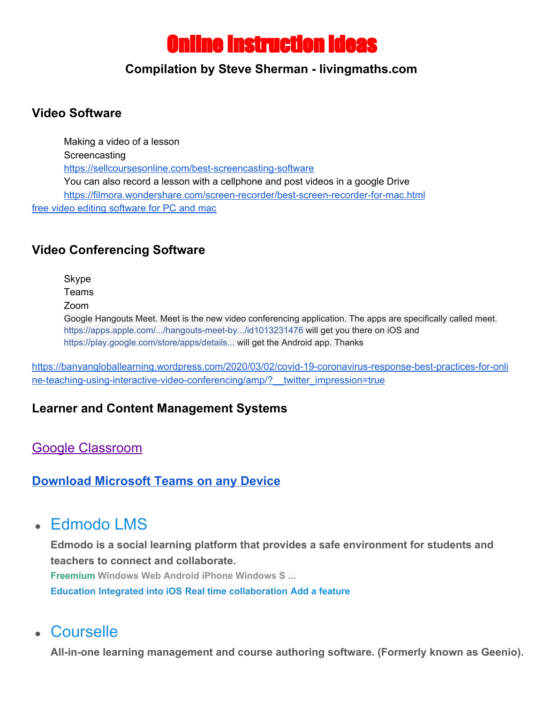# Online Instruction ideas

#### **Compilation by Steve Sherman - livingmaths.com**

### **Video Software**

Making a video of a lesson **Screencasting** <https://sellcoursesonline.com/best-screencasting-software> You can also record a lesson with a cellphone and post videos in a google Drive <https://filmora.wondershare.com/screen-recorder/best-screen-recorder-for-mac.html> free video editing [software](https://m.youtube.com/watch?v=Rv7hKOfqiSs) for PC and mac

### **Video Conferencing Software**

Skype

Teams

Zoom

Google Hangouts Meet. Meet is the new video conferencing application. The apps are specifically called meet. [https://apps.apple.com/.../hangouts-meet-by.../id1013231476](https://apps.apple.com/za/app/hangouts-meet-by-google/id1013231476?fbclid=IwAR02xZpeNPltQCAK-7fCGFTMoRZ1A2s0fgw442zgKuHuEcNtz8y3kA2np4M) will get you there on iOS and [https://play.google.com/store/apps/details...](https://play.google.com/store/apps/details?id=com.google.android.apps.meetings&fbclid=IwAR2rVOCzW1c8wGnQAXue3hXeh5DAPeiFTf9mgHcv2oGWlPwc8qDzbAOUYo0) will get the Android app. Thanks

[https://banyangloballearning.wordpress.com/2020/03/02/covid-19-coronavirus-response-best-practices-for-onli](https://banyangloballearning.wordpress.com/2020/03/02/covid-19-coronavirus-response-best-practices-for-online-teaching-using-interactive-video-conferencing/amp/?__twitter_impression=true) ne-teaching-using-interactive-video-conferencing/amp/? twitter\_impression=true

### **Learner and Content Management Systems**

[Google Classroom](https://classroom.google.com/)

### **[Download](https://teams.microsoft.com/downloads) Microsoft Teams on any Device**

# **●** [Edmodo LMS](https://alternativeto.net/software/edmodo-lms/)

**Edmodo is a social learning platform that provides a safe environment for students and teachers to connect and collaborate. Freemium Windows Web Android iPhone Windows S [...](https://alternativeto.net/software/google-classroom/#)**

**[Education](https://alternativeto.net/software/google-classroom/#) [Integrated into iOS](https://alternativeto.net/software/google-classroom/#) [Real time collaboration](https://alternativeto.net/software/google-classroom/#) Add a feature**

### **●** [Courselle](https://alternativeto.net/software/geenio/)

**All-in-one learning management and course authoring software. (Formerly known as Geenio).**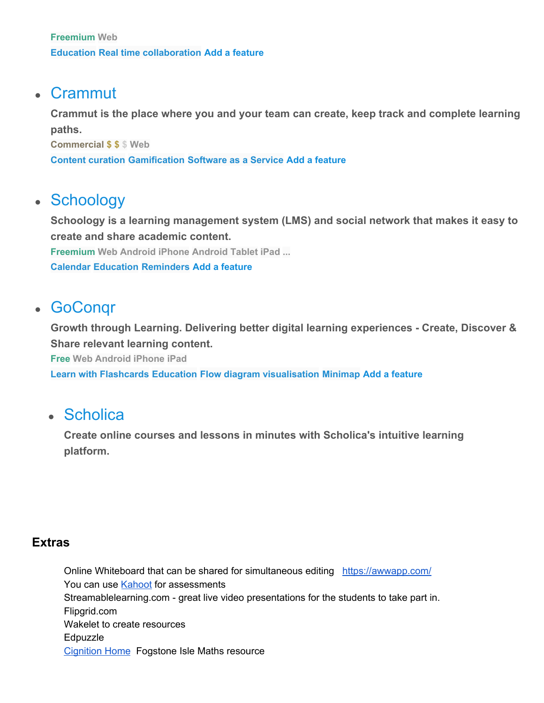### **●** [Crammut](https://alternativeto.net/software/crammut/)

**Crammut is the place where you and your team can create, keep track and complete learning paths.**

**Commercial \$ \$ \$ Web**

**[Content curation](https://alternativeto.net/software/google-classroom/#) [Gamification](https://alternativeto.net/software/google-classroom/#) [Software as a Service](https://alternativeto.net/software/google-classroom/#) Add a feature**

# **●** [Schoology](https://alternativeto.net/software/schoology/)

**Schoology is a learning management system (LMS) and social network that makes it easy to create and share academic content. Freemium Web Android iPhone Android Tablet iPad [...](https://alternativeto.net/software/google-classroom/#)**

**[Calendar](https://alternativeto.net/software/google-classroom/#) [Education](https://alternativeto.net/software/google-classroom/#) [Reminders](https://alternativeto.net/software/google-classroom/#) Add a feature**

## **●** [GoConqr](https://alternativeto.net/software/goconqr/)

**Growth through Learning. Delivering better digital learning experiences - Create, Discover & Share relevant learning content.**

**Free Web Android iPhone iPad**

**[Learn with Flashcards](https://alternativeto.net/software/google-classroom/#) [Education](https://alternativeto.net/software/google-classroom/#) [Flow diagram visualisation](https://alternativeto.net/software/google-classroom/#) [Minimap](https://alternativeto.net/software/google-classroom/#) Add a feature**

### **●** [Scholica](https://alternativeto.net/software/scholica/)

**Create online courses and lessons in minutes with Scholica's intuitive learning platform.**

#### **Extras**

Online Whiteboard that can be shared for simultaneous editing <https://awwapp.com/> You can use [Kahoot](https://kahoot.com/) for assessments Streamablelearning.com - great live video presentations for the students to take part in. Flipgrid.com Wakelet to create resources Edpuzzle [Cignition](https://fs.cignition.com/) Home Fogstone Isle Maths resource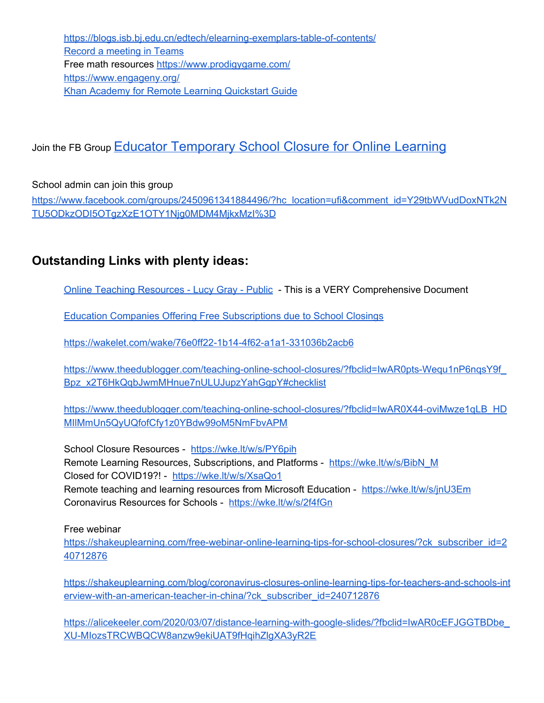<https://blogs.isb.bj.edu.cn/edtech/elearning-exemplars-table-of-contents/> Record a [meeting](https://support.office.com/en-us/article/record-a-meeting-in-teams-34dfbe7f-b07d-4a27-b4c6-de62f1348c24) in Teams Free math resources <https://www.prodigygame.com/> <https://www.engageny.org/> Khan Academy for Remote Learning [Quickstart](https://docs.google.com/presentation/d/19Lth2WB8GcklAdIZxqA0p3WVJz2I_qtrBwP8nevKynM/edit) Guide

### Join the FB Group **[Educator Temporary School Closure for Online Learning](https://www.facebook.com/groups/Temporaryschoolclosuresupport/?ref=group_header)**

School admin can join this group

[https://www.facebook.com/groups/2450961341884496/?hc\\_location=ufi&comment\\_id=Y29tbWVudDoxNTk2N](https://www.facebook.com/groups/2450961341884496/?hc_location=ufi&comment_id=Y29tbWVudDoxNTk2NTU5ODkzODI5OTgzXzE1OTY1Njg0MDM4MjkxMzI%3D) [TU5ODkzODI5OTgzXzE1OTY1Njg0MDM4MjkxMzI%3D](https://www.facebook.com/groups/2450961341884496/?hc_location=ufi&comment_id=Y29tbWVudDoxNTk2NTU5ODkzODI5OTgzXzE1OTY1Njg0MDM4MjkxMzI%3D)

### **Outstanding Links with plenty ideas:**

Online Teaching [Resources](https://docs.google.com/document/d/1kLP7iDrqJ2c2BPb4ESJzqCQol-R4TjYrdJOv9FHwwDM/edit?usp=sharing&fbclid=IwAR38zjGoZJ5FzlnUM3O7rKrTZAk48XojIk11PoS4IphdG-_eq-hjPD7ljek) - Lucy Gray - Public - This is a VERY Comprehensive Document

Education Companies Offering Free [Subscriptions](https://docs.google.com/spreadsheets/d/1NUKLZN7hGSu1Hzm70kfzBKs-lsSELaEMggS60Bi2O2I/htmlview?usp=sharing&fbclid=IwAR2XepZiy_DfKq1gBgEg4nzNsFn-Lc4OLMCkgnBTsmeY0E2HyQ-wqX26BZw&sle=true) due to School Closings

<https://wakelet.com/wake/76e0ff22-1b14-4f62-a1a1-331036b2acb6>

[https://www.theedublogger.com/teaching-online-school-closures/?fbclid=IwAR0pts-Wequ1nP6nqsY9f\\_](https://www.theedublogger.com/teaching-online-school-closures/?fbclid=IwAR0pts-Wequ1nP6nqsY9f_Bpz_x2T6HkQqbJwmMHnue7nULUJupzYahGgpY#checklist) [Bpz\\_x2T6HkQqbJwmMHnue7nULUJupzYahGgpY#checklist](https://www.theedublogger.com/teaching-online-school-closures/?fbclid=IwAR0pts-Wequ1nP6nqsY9f_Bpz_x2T6HkQqbJwmMHnue7nULUJupzYahGgpY#checklist)

[https://www.theedublogger.com/teaching-online-school-closures/?fbclid=IwAR0X44-oviMwze1qLB\\_HD](https://www.theedublogger.com/teaching-online-school-closures/?fbclid=IwAR0X44-oviMwze1qLB_HDMIlMmUn5QyUQfofCfy1z0YBdw99oM5NmFbvAPM) [MIlMmUn5QyUQfofCfy1z0YBdw99oM5NmFbvAPM](https://www.theedublogger.com/teaching-online-school-closures/?fbclid=IwAR0X44-oviMwze1qLB_HDMIlMmUn5QyUQfofCfy1z0YBdw99oM5NmFbvAPM)

School Closure Resources - <https://wke.lt/w/s/PY6pih> Remote Learning Resources, Subscriptions, and Platforms - [https://wke.lt/w/s/BibN\\_M](https://wke.lt/w/s/BibN_M) Closed for COVID19?! - <https://wke.lt/w/s/XsaQo1> Remote teaching and learning resources from Microsoft Education - <https://wke.lt/w/s/jnU3Em> Coronavirus Resources for Schools - <https://wke.lt/w/s/2f4fGn>

Free webinar

[https://shakeuplearning.com/free-webinar-online-learning-tips-for-school-closures/?ck\\_subscriber\\_id=2](https://shakeuplearning.com/free-webinar-online-learning-tips-for-school-closures/?ck_subscriber_id=240712876) [40712876](https://shakeuplearning.com/free-webinar-online-learning-tips-for-school-closures/?ck_subscriber_id=240712876)

[https://shakeuplearning.com/blog/coronavirus-closures-online-learning-tips-for-teachers-and-schools-int](https://shakeuplearning.com/blog/coronavirus-closures-online-learning-tips-for-teachers-and-schools-interview-with-an-american-teacher-in-china/?ck_subscriber_id=240712876) [erview-with-an-american-teacher-in-china/?ck\\_subscriber\\_id=240712876](https://shakeuplearning.com/blog/coronavirus-closures-online-learning-tips-for-teachers-and-schools-interview-with-an-american-teacher-in-china/?ck_subscriber_id=240712876)

[https://alicekeeler.com/2020/03/07/distance-learning-with-google-slides/?fbclid=IwAR0cEFJGGTBDbe\\_](https://alicekeeler.com/2020/03/07/distance-learning-with-google-slides/?fbclid=IwAR0cEFJGGTBDbe_XU-MIozsTRCWBQCW8anzw9ekiUAT9fHqihZlgXA3yR2E) [XU-MIozsTRCWBQCW8anzw9ekiUAT9fHqihZlgXA3yR2E](https://alicekeeler.com/2020/03/07/distance-learning-with-google-slides/?fbclid=IwAR0cEFJGGTBDbe_XU-MIozsTRCWBQCW8anzw9ekiUAT9fHqihZlgXA3yR2E)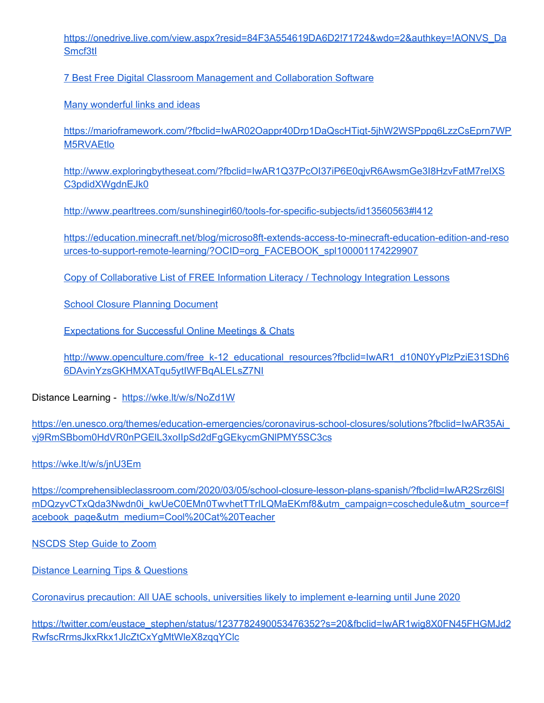[https://onedrive.live.com/view.aspx?resid=84F3A554619DA6D2!71724&wdo=2&authkey=!AONVS\\_Da](https://onedrive.live.com/view.aspx?resid=84F3A554619DA6D2!71724&wdo=2&authkey=!AONVS_DaSmcf3tI) [Smcf3tI](https://onedrive.live.com/view.aspx?resid=84F3A554619DA6D2!71724&wdo=2&authkey=!AONVS_DaSmcf3tI)

7 Best Free Digital Classroom Management and [Collaboration](https://blog.capterra.com/the-top-free-digital-classroom-management-software-and-classroom-collaboration-tools/) Software

Many [wonderful](https://docs.google.com/document/d/15Eypi039o6Qm0TQ1iZa1MIqoLfpWIxHohpXyUM5yCs4/edit?usp=sharing) links and ideas

[https://marioframework.com/?fbclid=IwAR02Oappr40Drp1DaQscHTiqt-5jhW2WSPppq6LzzCsEprn7WP](https://marioframework.com/?fbclid=IwAR02Oappr40Drp1DaQscHTiqt-5jhW2WSPppq6LzzCsEprn7WPM5RVAEtlo) [M5RVAEtlo](https://marioframework.com/?fbclid=IwAR02Oappr40Drp1DaQscHTiqt-5jhW2WSPppq6LzzCsEprn7WPM5RVAEtlo)

[http://www.exploringbytheseat.com/?fbclid=IwAR1Q37PcOI37iP6E0qjvR6AwsmGe3I8HzvFatM7reIXS](http://www.exploringbytheseat.com/?fbclid=IwAR1Q37PcOI37iP6E0qjvR6AwsmGe3I8HzvFatM7reIXSC3pdidXWgdnEJk0) [C3pdidXWgdnEJk0](http://www.exploringbytheseat.com/?fbclid=IwAR1Q37PcOI37iP6E0qjvR6AwsmGe3I8HzvFatM7reIXSC3pdidXWgdnEJk0)

<http://www.pearltrees.com/sunshinegirl60/tools-for-specific-subjects/id13560563#l412>

[https://education.minecraft.net/blog/microso8ft-extends-access-to-minecraft-education-edition-and-reso](https://education.minecraft.net/blog/microsoft-extends-access-to-minecraft-education-edition-and-resources-to-support-remote-learning/?OCID=org_FACEBOOK_spl100001174229907) [urces-to-support-remote-learning/?OCID=org\\_FACEBOOK\\_spl100001174229907](https://education.minecraft.net/blog/microsoft-extends-access-to-minecraft-education-edition-and-resources-to-support-remote-learning/?OCID=org_FACEBOOK_spl100001174229907)

Copy of [Collaborative](https://docs.google.com/spreadsheets/d/1c7to7fhQRx1fUPgNDBJmfVnKvRL9ijCtA2Neh0dY6jY/edit?fbclid=IwAR0aG75mny3zYpR7TQNDh-mrE_9Kn3qwdz6PdxwNb5gkmoUO0Hxr1g9k0UE) List of FREE Information Literacy / Technology Integration Lessons

School Closure Planning [Document](https://docs.google.com/document/d/1qddylcmFRG3DJw890Q5cvHbDogEK_VbPaM7N-VsQFK0/edit?usp=sharing)

[Expectations](https://docs.google.com/document/d/1L4IY5gqROIfA2k-M-9W_Q-eVq7si2cMD9WoowoktRfc/edit?usp=sharing) for Successful Online Meetings & Chats

[http://www.openculture.com/free\\_k-12\\_educational\\_resources?fbclid=IwAR1\\_d10N0YyPlzPziE31SDh6](http://www.openculture.com/free_k-12_educational_resources?fbclid=IwAR1_d10N0YyPlzPziE31SDh66DAvinYzsGKHMXATqu5ytIWFBqALELsZ7NI) [6DAvinYzsGKHMXATqu5ytIWFBqALELsZ7NI](http://www.openculture.com/free_k-12_educational_resources?fbclid=IwAR1_d10N0YyPlzPziE31SDh66DAvinYzsGKHMXATqu5ytIWFBqALELsZ7NI)

Distance Learning - <https://wke.lt/w/s/NoZd1W>

[https://en.unesco.org/themes/education-emergencies/coronavirus-school-closures/solutions?fbclid=IwAR35Ai\\_](https://en.unesco.org/themes/education-emergencies/coronavirus-school-closures/solutions?fbclid=IwAR35Ai_vj9RmSBbom0HdVR0nPGElL3xoIIpSd2dFgGEkycmGNlPMY5SC3cs) [vj9RmSBbom0HdVR0nPGElL3xoIIpSd2dFgGEkycmGNlPMY5SC3cs](https://en.unesco.org/themes/education-emergencies/coronavirus-school-closures/solutions?fbclid=IwAR35Ai_vj9RmSBbom0HdVR0nPGElL3xoIIpSd2dFgGEkycmGNlPMY5SC3cs)

<https://wke.lt/w/s/jnU3Em>

[https://comprehensibleclassroom.com/2020/03/05/school-closure-lesson-plans-spanish/?fbclid=IwAR2Srz6lSl](https://comprehensibleclassroom.com/2020/03/05/school-closure-lesson-plans-spanish/?fbclid=IwAR2Srz6lSlmDQzyvCTxQda3Nwdn0i_kwUeC0EMn0TwvhetTTrILQMaEKmf8&utm_campaign=coschedule&utm_source=facebook_page&utm_medium=Cool%20Cat%20Teacher) mDQzyvCTxQda3Nwdn0i kwUeC0EMn0TwvhetTTrILQMaEKmf8&utm\_campaign=coschedule&utm\_source=f [acebook\\_page&utm\\_medium=Cool%20Cat%20Teacher](https://comprehensibleclassroom.com/2020/03/05/school-closure-lesson-plans-spanish/?fbclid=IwAR2Srz6lSlmDQzyvCTxQda3Nwdn0i_kwUeC0EMn0TwvhetTTrILQMaEKmf8&utm_campaign=coschedule&utm_source=facebook_page&utm_medium=Cool%20Cat%20Teacher)

[NSCDS](https://docs.google.com/document/d/1f3rKnMaC3BoAt_4oMBK239HpkU44OA6bZpekujPZY5Y/mobilebasic) Step Guide to Zoom

Distance Learning Tips & [Questions](https://padlet.com/lgray41/distancelearning)

[Coronavirus](https://gulfnews.com/uae/education/coronavirus-precaution-all-uae-schools-universities-likely-to-implement-e-learning-until-june-2020-1.70313927) precaution: All UAE schools, universities likely to implement e-learning until June 2020

[https://twitter.com/eustace\\_stephen/status/1237782490053476352?s=20&fbclid=IwAR1wig8X0FN45FHGMJd2](https://twitter.com/eustace_stephen/status/1237782490053476352?s=20&fbclid=IwAR1wig8X0FN45FHGMJd2RwfscRrmsJkxRkx1JlcZtCxYgMtWleX8zqqYClc) [RwfscRrmsJkxRkx1JlcZtCxYgMtWleX8zqqYClc](https://twitter.com/eustace_stephen/status/1237782490053476352?s=20&fbclid=IwAR1wig8X0FN45FHGMJd2RwfscRrmsJkxRkx1JlcZtCxYgMtWleX8zqqYClc)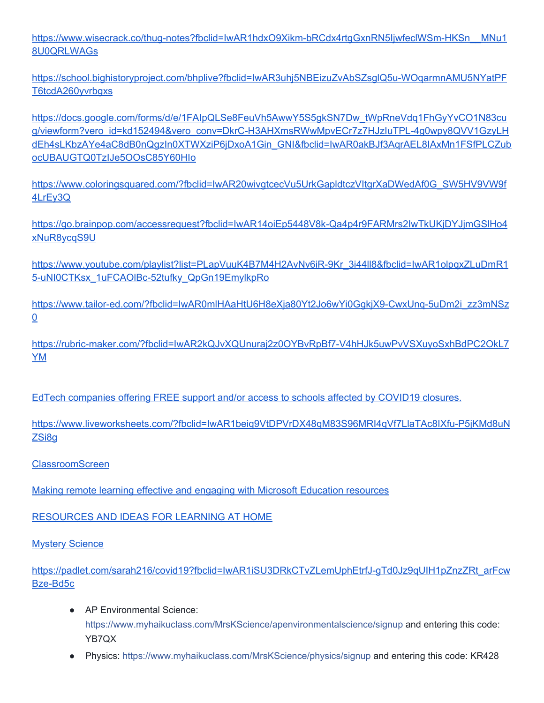[https://www.wisecrack.co/thug-notes?fbclid=IwAR1hdxO9Xikm-bRCdx4rtgGxnRN5IjwfeclWSm-HKSn\\_\\_MNu1](https://www.wisecrack.co/thug-notes?fbclid=IwAR1hdxO9Xikm-bRCdx4rtgGxnRN5IjwfeclWSm-HKSn__MNu18U0QRLWAGs) [8U0QRLWAGs](https://www.wisecrack.co/thug-notes?fbclid=IwAR1hdxO9Xikm-bRCdx4rtgGxnRN5IjwfeclWSm-HKSn__MNu18U0QRLWAGs)

[https://school.bighistoryproject.com/bhplive?fbclid=IwAR3uhj5NBEizuZvAbSZsglQ5u-WOqarmnAMU5NYatPF](https://school.bighistoryproject.com/bhplive?fbclid=IwAR3uhj5NBEizuZvAbSZsglQ5u-WOqarmnAMU5NYatPFT6tcdA260yvrbgxs) [T6tcdA260yvrbgxs](https://school.bighistoryproject.com/bhplive?fbclid=IwAR3uhj5NBEizuZvAbSZsglQ5u-WOqarmnAMU5NYatPFT6tcdA260yvrbgxs)

[https://docs.google.com/forms/d/e/1FAIpQLSe8FeuVh5AwwY5S5gkSN7Dw\\_tWpRneVdq1FhGyYvCO1N83cu](https://docs.google.com/forms/d/e/1FAIpQLSe8FeuVh5AwwY5S5gkSN7Dw_tWpRneVdq1FhGyYvCO1N83cug/viewform?vero_id=kd152494&vero_conv=DkrC-H3AHXmsRWwMpvECr7z7HJzIuTPL-4g0wpy8QVV1GzyLHdEh4sLKbzAYe4aC8dB0nQgzIn0XTWXziP6jDxoA1Gin_GNI&fbclid=IwAR0akBJf3AqrAEL8IAxMn1FSfPLCZubocUBAUGTQ0TzIJe5OOsC85Y60HIo) [g/viewform?vero\\_id=kd152494&vero\\_conv=DkrC-H3AHXmsRWwMpvECr7z7HJzIuTPL-4g0wpy8QVV1GzyLH](https://docs.google.com/forms/d/e/1FAIpQLSe8FeuVh5AwwY5S5gkSN7Dw_tWpRneVdq1FhGyYvCO1N83cug/viewform?vero_id=kd152494&vero_conv=DkrC-H3AHXmsRWwMpvECr7z7HJzIuTPL-4g0wpy8QVV1GzyLHdEh4sLKbzAYe4aC8dB0nQgzIn0XTWXziP6jDxoA1Gin_GNI&fbclid=IwAR0akBJf3AqrAEL8IAxMn1FSfPLCZubocUBAUGTQ0TzIJe5OOsC85Y60HIo) [dEh4sLKbzAYe4aC8dB0nQgzIn0XTWXziP6jDxoA1Gin\\_GNI&fbclid=IwAR0akBJf3AqrAEL8IAxMn1FSfPLCZub](https://docs.google.com/forms/d/e/1FAIpQLSe8FeuVh5AwwY5S5gkSN7Dw_tWpRneVdq1FhGyYvCO1N83cug/viewform?vero_id=kd152494&vero_conv=DkrC-H3AHXmsRWwMpvECr7z7HJzIuTPL-4g0wpy8QVV1GzyLHdEh4sLKbzAYe4aC8dB0nQgzIn0XTWXziP6jDxoA1Gin_GNI&fbclid=IwAR0akBJf3AqrAEL8IAxMn1FSfPLCZubocUBAUGTQ0TzIJe5OOsC85Y60HIo) [ocUBAUGTQ0TzIJe5OOsC85Y60HIo](https://docs.google.com/forms/d/e/1FAIpQLSe8FeuVh5AwwY5S5gkSN7Dw_tWpRneVdq1FhGyYvCO1N83cug/viewform?vero_id=kd152494&vero_conv=DkrC-H3AHXmsRWwMpvECr7z7HJzIuTPL-4g0wpy8QVV1GzyLHdEh4sLKbzAYe4aC8dB0nQgzIn0XTWXziP6jDxoA1Gin_GNI&fbclid=IwAR0akBJf3AqrAEL8IAxMn1FSfPLCZubocUBAUGTQ0TzIJe5OOsC85Y60HIo)

[https://www.coloringsquared.com/?fbclid=IwAR20wivgtcecVu5UrkGapldtczVItgrXaDWedAf0G\\_SW5HV9VW9f](https://www.coloringsquared.com/?fbclid=IwAR20wivgtcecVu5UrkGapldtczVItgrXaDWedAf0G_SW5HV9VW9f4LrEy3Q) [4LrEy3Q](https://www.coloringsquared.com/?fbclid=IwAR20wivgtcecVu5UrkGapldtczVItgrXaDWedAf0G_SW5HV9VW9f4LrEy3Q)

[https://go.brainpop.com/accessrequest?fbclid=IwAR14oiEp5448V8k-Qa4p4r9FARMrs2IwTkUKjDYJjmGSlHo4](https://go.brainpop.com/accessrequest?fbclid=IwAR14oiEp5448V8k-Qa4p4r9FARMrs2IwTkUKjDYJjmGSlHo4xNuR8ycqS9U) [xNuR8ycqS9U](https://go.brainpop.com/accessrequest?fbclid=IwAR14oiEp5448V8k-Qa4p4r9FARMrs2IwTkUKjDYJjmGSlHo4xNuR8ycqS9U)

[https://www.youtube.com/playlist?list=PLapVuuK4B7M4H2AvNv6iR-9Kr\\_3i44ll8&fbclid=IwAR1olpqxZLuDmR1](https://www.youtube.com/playlist?list=PLapVuuK4B7M4H2AvNv6iR-9Kr_3i44ll8&fbclid=IwAR1olpqxZLuDmR15-uNI0CTKsx_1uFCAOlBc-52tufky_QpGn19EmylkpRo) [5-uNI0CTKsx\\_1uFCAOlBc-52tufky\\_QpGn19EmylkpRo](https://www.youtube.com/playlist?list=PLapVuuK4B7M4H2AvNv6iR-9Kr_3i44ll8&fbclid=IwAR1olpqxZLuDmR15-uNI0CTKsx_1uFCAOlBc-52tufky_QpGn19EmylkpRo)

[https://www.tailor-ed.com/?fbclid=IwAR0mlHAaHtU6H8eXja80Yt2Jo6wYi0GgkjX9-CwxUnq-5uDm2i\\_zz3mNSz](https://www.tailor-ed.com/?fbclid=IwAR0mlHAaHtU6H8eXja80Yt2Jo6wYi0GgkjX9-CwxUnq-5uDm2i_zz3mNSz0) [0](https://www.tailor-ed.com/?fbclid=IwAR0mlHAaHtU6H8eXja80Yt2Jo6wYi0GgkjX9-CwxUnq-5uDm2i_zz3mNSz0)

[https://rubric-maker.com/?fbclid=IwAR2kQJvXQUnuraj2z0OYBvRpBf7-V4hHJk5uwPvVSXuyoSxhBdPC2OkL7](https://rubric-maker.com/?fbclid=IwAR2kQJvXQUnuraj2z0OYBvRpBf7-V4hHJk5uwPvVSXuyoSxhBdPC2OkL7YM) [YM](https://rubric-maker.com/?fbclid=IwAR2kQJvXQUnuraj2z0OYBvRpBf7-V4hHJk5uwPvVSXuyoSxhBdPC2OkL7YM)

EdTech [companies](https://wakelet.com/wake/fc1be896-0ff1-431d-a3b8-b10febdc3256) offering FREE support and/or access to schools affected by COVID19 closures.

[https://www.liveworksheets.com/?fbclid=IwAR1beiq9VtDPVrDX48qM83S96MRI4qVf7LlaTAc8IXfu-P5jKMd8uN](https://www.liveworksheets.com/?fbclid=IwAR1beiq9VtDPVrDX48qM83S96MRI4qVf7LlaTAc8IXfu-P5jKMd8uNZSi8g) [ZSi8g](https://www.liveworksheets.com/?fbclid=IwAR1beiq9VtDPVrDX48qM83S96MRI4qVf7LlaTAc8IXfu-P5jKMd8uNZSi8g)

#### [ClassroomScreen](https://classroomscreen.com/)

Making remote learning effective and engaging with Microsoft [Education](https://educationblog.microsoft.com/en-us/2020/03/making-remote-learning-effective-and-engaging-with-microsoft-education-resources/) resources

[RESOURCES](https://docs.google.com/document/d/1RLo1qrlh_qEOrZmLa0tufuFNWwD_vQPWYkZWt6r6ams/edit?usp=drivesdk) AND IDEAS FOR LEARNING AT HOME

Mystery [Science](https://mysteryscience.com/school-closure-planning)

[https://padlet.com/sarah216/covid19?fbclid=IwAR1iSU3DRkCTvZLemUphEtrfJ-gTd0Jz9qUIH1pZnzZRt\\_arFcw](https://padlet.com/sarah216/covid19?fbclid=IwAR1iSU3DRkCTvZLemUphEtrfJ-gTd0Jz9qUIH1pZnzZRt_arFcwBze-Bd5c) [Bze-Bd5c](https://padlet.com/sarah216/covid19?fbclid=IwAR1iSU3DRkCTvZLemUphEtrfJ-gTd0Jz9qUIH1pZnzZRt_arFcwBze-Bd5c)

- AP Environmental Science: [https://www.myhaikuclass.com/MrsKScience/apenvironmentalscience/signup](https://www.myhaikuclass.com/MrsKScience/apenvironmentalscience/signup?fbclid=IwAR2yWBAU5beoZffNWc3kR5zEpRxZ3U--3xtOSe1DZjzR_DJSh69Jee-1EaY) and entering this code: YB7QX
- Physics[:](https://www.myhaikuclass.com/MrsKScience/physics/signup?fbclid=IwAR2W4yRK3DfvrHr8WT1yeKHo-rqAlC7r53sfDA7I7Pk6VkRH15ZpJNJAnGw) [https://www.myhaikuclass.com/MrsKScience/physics/signup](https://www.myhaikuclass.com/MrsKScience/physics/signup?fbclid=IwAR2W4yRK3DfvrHr8WT1yeKHo-rqAlC7r53sfDA7I7Pk6VkRH15ZpJNJAnGw) and entering this code: KR428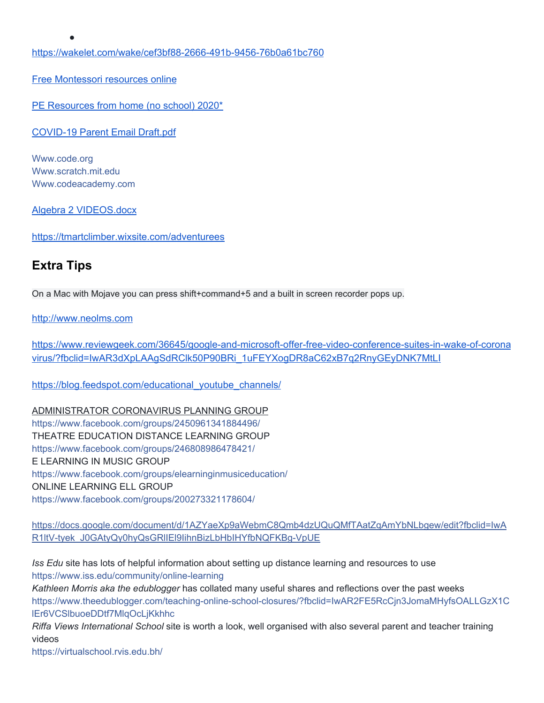<https://wakelet.com/wake/cef3bf88-2666-491b-9456-76b0a61bc760>

Free [Montessori](http://liveandlearnfarm.com/free/?fbclid=IwAR2znKC1s0iX5s4oE8yCheR4UkSP4StDffl3Da6YlFdm-8QQyNp2qdjA92Q) resources online

PE [Resources](https://drive.google.com/drive/folders/1eF5sr5X3q6yDNw_9YuSmkFTeSAXtw9GU?fbclid=IwAR3MtlLJpLDJNmJKcA8Qxa7JWqLK1g2Y9P6hCRHDvt3bijdjjitgoI4q2A4) from home (no school) 2020\*

[COVID-19](https://drive.google.com/file/d/1cIHP7nYRWImhpZ4IuvoUs8oRmPabHAZu/view?fbclid=IwAR2RDxJ5YyN9GIvLbGbzV_TKO-FhYkHQDRtmrV25CRP67Ny21HSiWOciGYM) Parent Email Draft.pdf

[Www.code.org](https://l.facebook.com/l.php?u=http%3A%2F%2FWww.code.org%2F%3Ffbclid%3DIwAR18URP7I_sdJuS5MZ9X456rTooz5wjX_rYP1qGFOOugbc5pa17dhJQnj8c&h=AT3lx54Ji1qouYglqVNxHKqzFrv6WlR_nv_sb0CzONRcXdaTuFtcMIoq4lELaiZIxPSaX81N1y70ptto2V7HnqI0bcwAozF39rFhYURWOCAIro_rAsUzq71IeLBF7bHUWbHZOhp102Htqw0WC9HhCmjS2ms) [Www.scratch.mit.edu](http://www.scratch.mit.edu/?fbclid=IwAR0TxBEEBqTg58EItdLmucM062Wolgl4NkkTa2R3MclYnJ05tDozS6P_hhc) [Www.codeacademy.com](http://www.codeacademy.com/?fbclid=IwAR0T15buhCmVbICFwmaRP6EINPLwZM9oXnpvqgdP-3eMNW6Q3MGIivbkmT4)

●

Algebra 2 [VIDEOS.docx](https://drive.google.com/file/d/1Jv1qX-Klat9WYv826rSqOw8it8FbPOK2/view?fbclid=IwAR1yuu5-pecUhzwpFyWkyeMFqp8NrHlgCuqtkqU8lYs7fAq663GK5ADvryo)

<https://tmartclimber.wixsite.com/adventurees>

#### **Extra Tips**

On a Mac with Mojave you can press shift+command+5 and a built in screen recorder pops up.

[http://www.neolms.com](http://www.neolms.com/?fbclid=IwAR0E759N0-yL1CZcB0-_ODj2dMs6rO3gdSmxEe8FFCv7KY08EVRBmpJlZnw)

[https://www.reviewgeek.com/36645/google-and-microsoft-offer-free-video-conference-suites-in-wake-of-corona](https://www.reviewgeek.com/36645/google-and-microsoft-offer-free-video-conference-suites-in-wake-of-coronavirus/?fbclid=IwAR3dXpLAAgSdRClk50P90BRi_1uFEYXogDR8aC62xB7q2RnyGEyDNK7MtLI) [virus/?fbclid=IwAR3dXpLAAgSdRClk50P90BRi\\_1uFEYXogDR8aC62xB7q2RnyGEyDNK7MtLI](https://www.reviewgeek.com/36645/google-and-microsoft-offer-free-video-conference-suites-in-wake-of-coronavirus/?fbclid=IwAR3dXpLAAgSdRClk50P90BRi_1uFEYXogDR8aC62xB7q2RnyGEyDNK7MtLI)

[https://blog.feedspot.com/educational\\_youtube\\_channels/](https://blog.feedspot.com/educational_youtube_channels/)

ADMINISTRATOR CORONAVIRUS PLANNING GROUP <https://www.facebook.com/groups/2450961341884496/> THEATRE EDUCATION DISTANCE LEARNING GROUP <https://www.facebook.com/groups/246808986478421/> E LEARNING IN MUSIC GROUP <https://www.facebook.com/groups/elearninginmusiceducation/> ONLINE LEARNING ELL GROUP <https://www.facebook.com/groups/200273321178604/>

[https://docs.google.com/document/d/1AZYaeXp9aWebmC8Qmb4dzUQuQMfTAatZqAmYbNLbgew/edit?fbclid=IwA](https://docs.google.com/document/d/1AZYaeXp9aWebmC8Qmb4dzUQuQMfTAatZqAmYbNLbgew/edit?fbclid=IwAR0BevijJE09k4pQSfPOYte_DgDvYSedcLMGyK8lSG7zS0Gfx4P07rqtj_c) [R1ltV-tyek\\_J0GAtyQy0hyQsGRlIEl9IihnBizLbHbIHYfbNQFKBg-VpUE](https://docs.google.com/document/d/1AZYaeXp9aWebmC8Qmb4dzUQuQMfTAatZqAmYbNLbgew/edit?fbclid=IwAR0BevijJE09k4pQSfPOYte_DgDvYSedcLMGyK8lSG7zS0Gfx4P07rqtj_c)

*Iss Edu* site has lots of helpful information about setting up distance learning and resources to use [https://www.iss.edu/community/online-learning](https://l.facebook.com/l.php?u=https%3A%2F%2Fwww.iss.edu%2Fcommunity%2Fonline-learning%3Ffbclid%3DIwAR1FEmE7xCce3Py8FKb8oMB9kemzpI8BgjPBlGamyInyOZ9dkNILb5qwo0o&h=AT3cgR0Vvd8xlAAww6gE2Rxts9B2lFAXjD4Jom8tgSOpK2TTOSTI0AC9c_l7xzwEtNNSkPuHDuhEA2_nLxweQIzlW6fxIOqqFNAYrt9N8BMO3q05y0yxiM5_JsI-mueAmNXJfuDQ-jL1pyk5HQ)

*Kathleen Morris aka the edublogger* has collated many useful shares and reflections over the past weeks [https://www.theedublogger.com/teaching-online-school-closures/?fbclid=IwAR2FE5RcCjn3JomaMHyfsOALLGzX1C](https://www.theedublogger.com/teaching-online-school-closures/?fbclid=IwAR1LQ1IFJQm2PocHuXx1eM0_sjR4GnVICElt747gK4VRvFHbUjhoiUIZL3w) [lEr6VCSlbuoeDDtf7MlqOcLjKkhhc](https://www.theedublogger.com/teaching-online-school-closures/?fbclid=IwAR1LQ1IFJQm2PocHuXx1eM0_sjR4GnVICElt747gK4VRvFHbUjhoiUIZL3w)

*Riffa Views International School* site is worth a look, well organised with also several parent and teacher training videos

[https://virtualschool.rvis.edu.bh/](https://virtualschool.rvis.edu.bh/?fbclid=IwAR0MICTpWWnlexWxZwt1PcB7yIl5iOBQML_UpDo9JN8BwG8bsyDeMUJeK18)